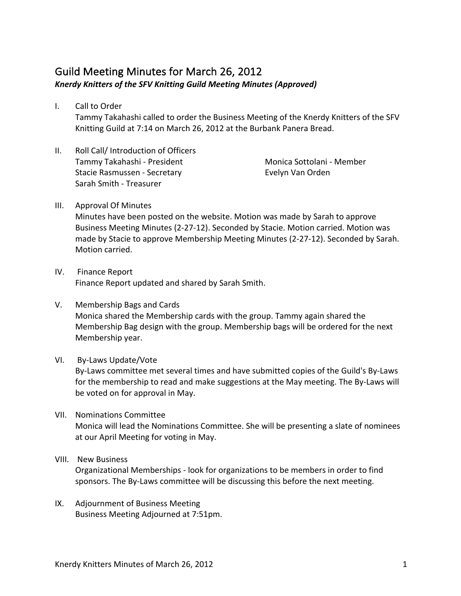## Guild Meeting Minutes for March 26, 2012 Knerdy Knitters of the SFV Knitting Guild Meeting Minutes (Approved)

I. Call to Order

Tammy Takahashi called to order the Business Meeting of the Knerdy Knitters of the SFV Knitting Guild at 7:14 on March 26, 2012 at the Burbank Panera Bread.

II. Roll Call/ Introduction of Officers Tammy Takahashi - President Stacie Rasmussen - Secretary Sarah Smith - Treasurer

Monica Sottolani - Member Evelyn Van Orden 

- III. Approval Of Minutes Minutes have been posted on the website. Motion was made by Sarah to approve Business Meeting Minutes (2-27-12). Seconded by Stacie. Motion carried. Motion was made by Stacie to approve Membership Meeting Minutes (2-27-12). Seconded by Sarah. Motion carried.
- IV. Finance Report Finance Report updated and shared by Sarah Smith.
- V. Membership Bags and Cards Monica shared the Membership cards with the group. Tammy again shared the Membership Bag design with the group. Membership bags will be ordered for the next Membership year.
- VI. By-Laws Update/Vote

By-Laws committee met several times and have submitted copies of the Guild's By-Laws for the membership to read and make suggestions at the May meeting. The By-Laws will be voted on for approval in May.

VII. Nominations Committee

Monica will lead the Nominations Committee. She will be presenting a slate of nominees at our April Meeting for voting in May.

## VIII. New Business

Organizational Memberships - look for organizations to be members in order to find sponsors. The By-Laws committee will be discussing this before the next meeting.

IX. Adjournment of Business Meeting Business Meeting Adjourned at 7:51pm.